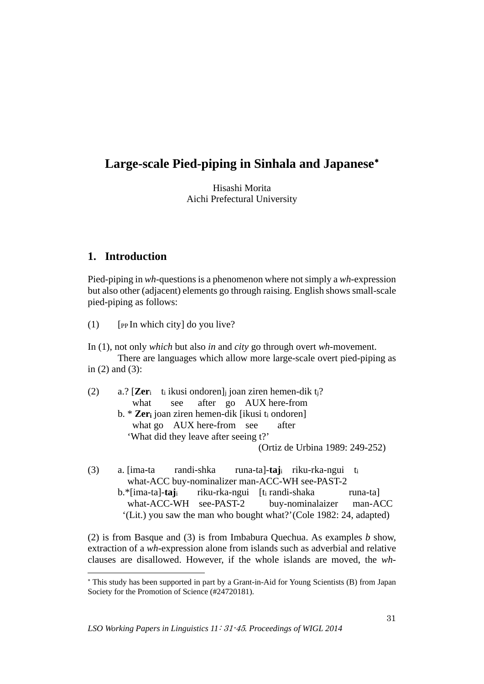# **Large-scale Pied-piping in Sinhala and Japanese**[∗](#page-0-0)

Hisashi Morita Aichi Prefectural University

## **1. Introduction**

-

Pied-piping in *wh*-questions is a phenomenon where not simply a *wh*-expression but also other (adjacent) elements go through raising. English shows small-scale pied-piping as follows:

 $(1)$  [PP In which city] do you live?

In (1), not only *which* but also *in* and *city* go through overt *wh*-movement. There are languages which allow more large-scale overt pied-piping as in (2) and (3):

(2) a.? [**Zer**i ti ikusi ondoren]j joan ziren hemen-dik tj? what see after go AUX here-from b. \* **Zeri** joan ziren hemen-dik [ikusi ti ondoren] what go AUX here-from see after 'What did they leave after seeing t?' (Ortiz de Urbina 1989: 249-252)

(3) a. [ima-ta randi-shka runa-ta]-**taj**i riku-rka-ngui ti what-ACC buy-nominalizer man-ACC-WH see-PAST-2 b.\*[ima-ta]-**taj**i riku-rka-ngui [ti randi-shaka runa-ta] what-ACC-WH see-PAST-2 buy-nominalaizer man-ACC '(Lit.) you saw the man who bought what?'(Cole 1982: 24, adapted)

(2) is from Basque and (3) is from Imbabura Quechua. As examples *b* show, extraction of a *wh*-expression alone from islands such as adverbial and relative clauses are disallowed. However, if the whole islands are moved, the *wh*-

<span id="page-0-0"></span><sup>∗</sup> This study has been supported in part by a Grant-in-Aid for Young Scientists (B) from Japan Society for the Promotion of Science (#24720181).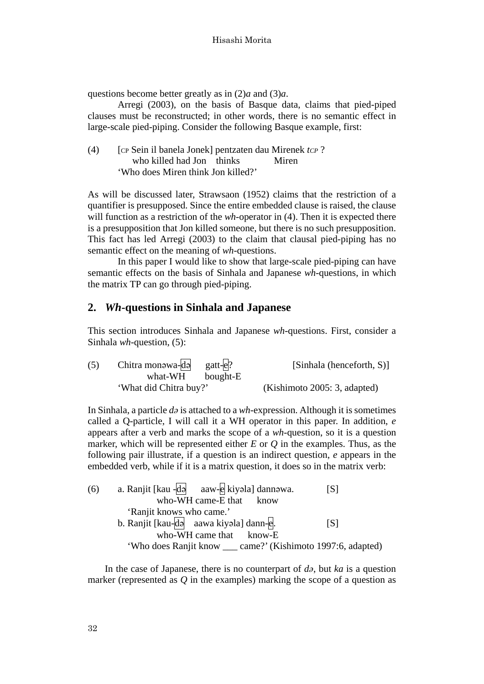questions become better greatly as in (2)*a* and (3)*a*.

Arregi (2003), on the basis of Basque data, claims that pied-piped clauses must be reconstructed; in other words, there is no semantic effect in large-scale pied-piping. Consider the following Basque example, first:

| (4) | [CP Sein il banela Jonek] pentzaten dau Mirenek tcp? |       |
|-----|------------------------------------------------------|-------|
|     | who killed had Jon thinks                            | Miren |
|     | 'Who does Miren think Jon killed?'                   |       |

As will be discussed later, Strawsaon (1952) claims that the restriction of a quantifier is presupposed. Since the entire embedded clause is raised, the clause will function as a restriction of the *wh*-operator in (4). Then it is expected there is a presupposition that Jon killed someone, but there is no such presupposition. This fact has led Arregi (2003) to the claim that clausal pied-piping has no semantic effect on the meaning of *wh*-questions.

In this paper I would like to show that large-scale pied-piping can have semantic effects on the basis of Sinhala and Japanese *wh*-questions, in which the matrix TP can go through pied-piping.

### **2.** *Wh***-questions in Sinhala and Japanese**

This section introduces Sinhala and Japanese *wh*-questions. First, consider a Sinhala *wh*-question, (5):

| (5) | Chitra monowa-də gatt- $e$ ? | [Sinhala (henceforth, S)]    |
|-----|------------------------------|------------------------------|
|     | what-WH bought-E             |                              |
|     | 'What did Chitra buy?'       | (Kishimoto 2005: 3, adapted) |

In Sinhala, a particle *də* is attached to a *wh*-expression. Although it is sometimes called a Q-particle, I will call it a WH operator in this paper. In addition, *e* appears after a verb and marks the scope of a *wh*-question, so it is a question marker, which will be represented either *E* or *Q* in the examples. Thus, as the following pair illustrate, if a question is an indirect question, *e* appears in the embedded verb, while if it is a matrix question, it does so in the matrix verb:

| (6) | a. Ranjit [kau -də aaw-e kiyəla] dannəwa.                    | [S] |
|-----|--------------------------------------------------------------|-----|
|     | who-WH came-E that know                                      |     |
|     | 'Ranjit knows who came.'                                     |     |
|     | b. Ranjit [kau-də aawa kiyəla] dann-e.                       | [S] |
|     | who-WH came that know-E                                      |     |
|     | 'Who does Ranjit know ___ came?' (Kishimoto 1997:6, adapted) |     |

In the case of Japanese, there is no counterpart of *də*, but *ka* is a question marker (represented as *Q* in the examples) marking the scope of a question as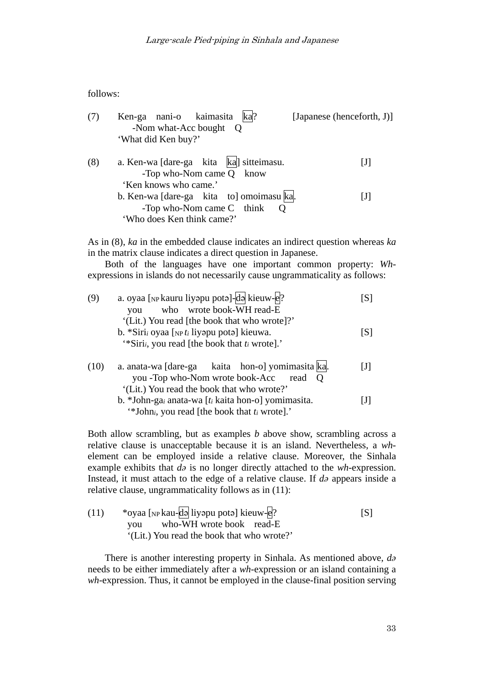follows:

| (7) | Ken-ga nani-o kaimasita ka?<br>-Nom what-Acc bought Q                   | [Japanese (henceforth, J)] |
|-----|-------------------------------------------------------------------------|----------------------------|
|     | 'What did Ken buy?'                                                     |                            |
| (8) | a. Ken-wa [dare-ga kita   ka] sitteimasu.<br>-Top who-Nom came $Q$ know | IJI                        |
|     | 'Ken knows who came.'                                                   |                            |
|     | b. Ken-wa [dare-ga kita to] omoimasu ka.                                | $[1]$                      |
|     | -Top who-Nom came $C$ think $Q$                                         |                            |
|     | 'Who does Ken think came?'                                              |                            |

As in (8), *ka* in the embedded clause indicates an indirect question whereas *ka* in the matrix clause indicates a direct question in Japanese.

Both of the languages have one important common property: *Wh*expressions in islands do not necessarily cause ungrammaticality as follows:

| (9)  | a. oyaa [NP kauru liyapu pota]-da kieuw-e?                           | [S] |
|------|----------------------------------------------------------------------|-----|
|      | who wrote book-WH read-E<br>you                                      |     |
|      | '(Lit.) You read [the book that who wrote]?'                         |     |
|      | b. *Siri, oyaa [ $_{NP}t_i$ liyapu pota] kieuwa.                     | [S] |
|      | "Siri <sub>i</sub> , you read [the book that t <sub>i</sub> wrote]." |     |
| (10) | a. anata-wa [dare-ga kaita hon-o] yomimasita ka.                     | IJI |
|      | you -Top who-Nom wrote book-Acc<br>read                              |     |
|      | '(Lit.) You read the book that who wrote?'                           |     |
|      | b. *John-gai anata-wa [ $t_i$ kaita hon-o] yomimasita.               |     |
|      | "*John <sub>i</sub> , you read [the book that $t_i$ wrote]."         |     |

Both allow scrambling, but as examples *b* above show, scrambling across a relative clause is unacceptable because it is an island. Nevertheless, a *wh*element can be employed inside a relative clause. Moreover, the Sinhala example exhibits that *də* is no longer directly attached to the *wh*-expression. Instead, it must attach to the edge of a relative clause. If *də* appears inside a relative clause, ungrammaticality follows as in (11):

| (11) | *oyaa [ <sub>NP</sub> kau-də liyəpu potə] kieuw-e? | [S] |
|------|----------------------------------------------------|-----|
|      | who-WH wrote book read-E<br>vou vo                 |     |
|      | '(Lit.) You read the book that who wrote?'         |     |

There is another interesting property in Sinhala. As mentioned above, *də* needs to be either immediately after a *wh*-expression or an island containing a *wh*-expression. Thus, it cannot be employed in the clause-final position serving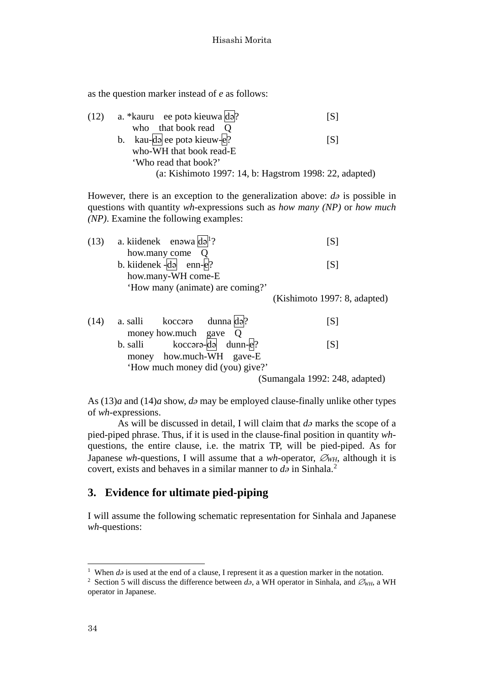as the question marker instead of *e* as follows:

| (12) | a. *kauru ee poto kieuwa do?                           | ISI |
|------|--------------------------------------------------------|-----|
|      | who that book read Q                                   |     |
|      | b. kau-da ee poto kieuw- $e$ ?                         | [S] |
|      | who-WH that book read-E                                |     |
|      | 'Who read that book?'                                  |     |
|      | (a: Kishimoto 1997: 14, b: Hagstrom 1998: 22, adapted) |     |

However, there is an exception to the generalization above: *də* is possible in questions with quantity *wh*-expressions such as *how many (NP)* or *how much (NP)*. Examine the following examples:

| (13) |          | a. kiidenek enawa $\text{d}a$ <sup>1</sup> ?         |                                  | [S]                          |
|------|----------|------------------------------------------------------|----------------------------------|------------------------------|
|      |          | how.many come Q                                      |                                  |                              |
|      |          | b. kiidenek - $\overline{d}$ a enn- $\overline{e}$ ? |                                  | [S]                          |
|      |          | how.many-WH come-E                                   |                                  |                              |
|      |          |                                                      | 'How many (animate) are coming?' |                              |
|      |          |                                                      |                                  | (Kishimoto 1997: 8, adapted) |
| (14) | a. salli | koccərə                                              | $d$ unna $d$ ə?                  |                              |

| (14) |          | a. salli koccara dunna dal?      |  |                                | 151 |
|------|----------|----------------------------------|--|--------------------------------|-----|
|      |          | money how.much gave $Q$          |  |                                |     |
|      | b. salli | $kocc$ ara-da dunn-e?            |  |                                | [S] |
|      |          | money how.much-WH gave-E         |  |                                |     |
|      |          | 'How much money did (you) give?' |  |                                |     |
|      |          |                                  |  | (Sumangala 1992: 248, adapted) |     |

As (13)*a* and (14)*a* show, *də* may be employed clause-finally unlike other types of *wh*-expressions.

As will be discussed in detail, I will claim that *də* marks the scope of a pied-piped phrase. Thus, if it is used in the clause-final position in quantity *wh*questions, the entire clause, i.e. the matrix TP, will be pied-piped. As for Japanese *wh*-questions, I will assume that a *wh*-operator, ∅*WH*, although it is covert, exists and behaves in a similar manner to  $d\theta$  in Sinhala.<sup>[2](#page-3-1)</sup>

## **3. Evidence for ultimate pied-piping**

I will assume the following schematic representation for Sinhala and Japanese *wh*-questions:

<span id="page-3-0"></span><sup>&</sup>lt;sup>1</sup> When  $d\vartheta$  is used at the end of a clause, I represent it as a question marker in the notation.

<span id="page-3-1"></span><sup>2</sup> Section 5 will discuss the difference between *də*, a WH operator in Sinhala, and ∅*WH*, a WH operator in Japanese.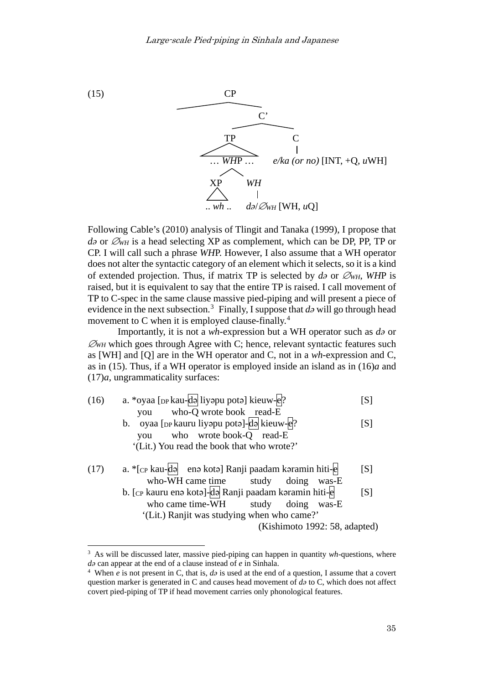

Following Cable's (2010) analysis of Tlingit and Tanaka (1999), I propose that *d*<sup>∂</sup> or  $\mathcal{O}_{WH}$  is a head selecting XP as complement, which can be DP, PP, TP or CP. I will call such a phrase *WH*P. However, I also assume that a WH operator does not alter the syntactic category of an element which it selects, so it is a kind of extended projection. Thus, if matrix TP is selected by *də* or ∅*WH*, *WH*P is raised, but it is equivalent to say that the entire TP is raised. I call movement of TP to C-spec in the same clause massive pied-piping and will present a piece of evidence in the next subsection.<sup>[3](#page-4-0)</sup> Finally, I suppose that  $d\theta$  will go through head movement to C when it is employed clause-finally.<sup>[4](#page-4-1)</sup>

Importantly, it is not a *wh*-expression but a WH operator such as *də* or ∅*WH* which goes through Agree with C; hence, relevant syntactic features such as [WH] and [Q] are in the WH operator and C, not in a *wh*-expression and C, as in (15). Thus, if a WH operator is employed inside an island as in (16)*a* and (17)*a*, ungrammaticality surfaces:

| (16) | a. *oyaa [pp kau-də liyəpu potə] kieuw-e?             | [S] |
|------|-------------------------------------------------------|-----|
|      | you who-Q wrote book read-E                           |     |
|      | b. oyaa [DP kauru liyapu pota]-da kieuw-e?            | [S] |
|      | who wrote book-Q read-E<br>vou                        |     |
|      | '(Lit.) You read the book that who wrote?'            |     |
| (17) | a. *[cp kau-də enə kotə] Ranji paadam kəramin hiti-e  | [S] |
|      | who-WH came time study doing was-E                    |     |
|      | b. [cp kauru enə kotə]-də Ranji paadam kəramin hiti-e | [S] |
|      | who came time-WH study doing was-E                    |     |
|      | '(Lit.) Ranjit was studying when who came?'           |     |
|      | (Kishimoto 1992: 58, adapted)                         |     |

<span id="page-4-0"></span><sup>3</sup> As will be discussed later, massive pied-piping can happen in quantity *wh*-questions, where *d* $\partial$ *a* can appear at the end of a clause instead of *e* in Sinhala.<br><sup>4</sup> When *e* is not present in C, that is,  $d\partial$  is used at the end of a question, I assume that a covert

<span id="page-4-1"></span>question marker is generated in C and causes head movement of *də* to C, which does not affect covert pied-piping of TP if head movement carries only phonological features.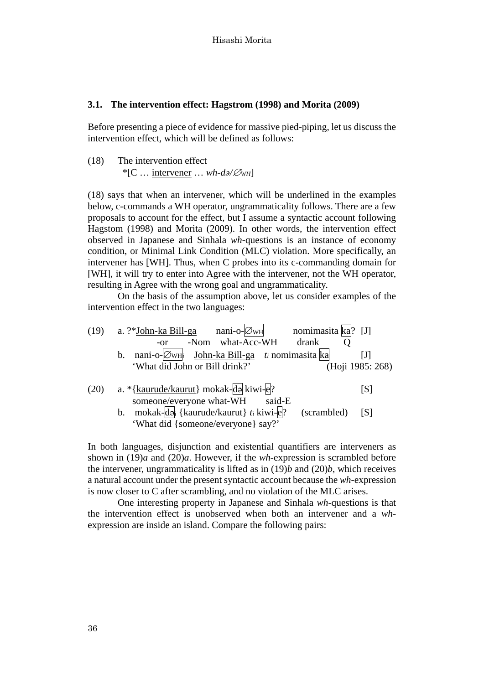#### **3.1. The intervention effect: Hagstrom (1998) and Morita (2009)**

Before presenting a piece of evidence for massive pied-piping, let us discuss the intervention effect, which will be defined as follows:

(18) The intervention effect

\*[C … intervener … *wh*-*də/*∅*WH*]

(18) says that when an intervener, which will be underlined in the examples below, c-commands a WH operator, ungrammaticality follows. There are a few proposals to account for the effect, but I assume a syntactic account following Hagstom (1998) and Morita (2009). In other words, the intervention effect observed in Japanese and Sinhala *wh*-questions is an instance of economy condition, or Minimal Link Condition (MLC) violation. More specifically, an intervener has [WH]. Thus, when C probes into its c-commanding domain for [WH], it will try to enter into Agree with the intervener, not the WH operator, resulting in Agree with the wrong goal and ungrammaticality.

On the basis of the assumption above, let us consider examples of the intervention effect in the two languages:

| (19) | nomimasita ka? [J]<br>$nani-o-\varnothingwh$<br>a. ?* <u>John-ka Bill-ga</u>       |                  |
|------|------------------------------------------------------------------------------------|------------------|
|      | -Nom what-Acc-WH<br>drank<br>$-Or$                                                 |                  |
|      | nani-o- $\oslash$ <sub>WH</sub> John-ka Bill-ga ti nomimasita ka<br>$\mathbf{b}$ . | IJI              |
|      | 'What did John or Bill drink?'                                                     | (Hoji 1985: 268) |
|      |                                                                                    |                  |
| (20) | a. *{kaurude/kaurut} mokak-da kiwi-e?                                              | [S]              |
|      | someone/everyone what-WH<br>said-E                                                 |                  |
|      | mokak-də { $kaurude/kaurut$ } t <sub>i</sub> kiwi-e?<br>(scrambled)<br>b.          | [S]              |
|      | 'What did {someone/everyone} say?'                                                 |                  |

In both languages, disjunction and existential quantifiers are interveners as shown in (19)*a* and (20)*a*. However, if the *wh*-expression is scrambled before the intervener, ungrammaticality is lifted as in (19)*b* and (20)*b*, which receives a natural account under the present syntactic account because the *wh*-expression is now closer to C after scrambling, and no violation of the MLC arises.

One interesting property in Japanese and Sinhala *wh*-questions is that the intervention effect is unobserved when both an intervener and a *wh*expression are inside an island. Compare the following pairs: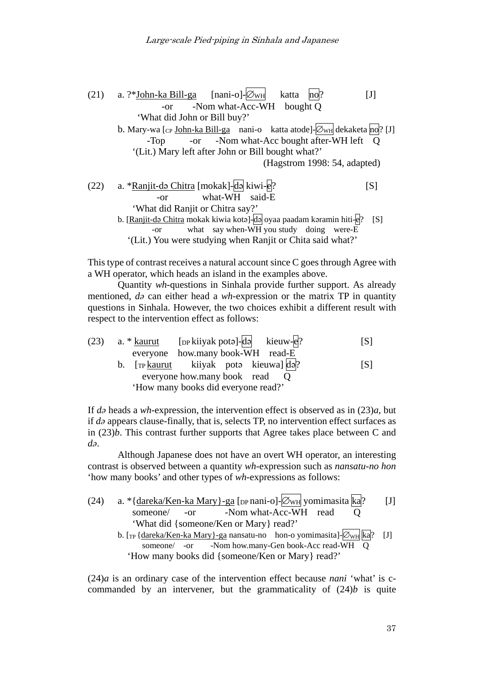| (21) | a. ?*John-ka Bill-ga [nani-o]- $\varnothing$ <sub>WH</sub><br>katta<br>$\text{no} ?$    |     |
|------|-----------------------------------------------------------------------------------------|-----|
|      | -Nom what-Acc-WH bought Q<br>$-0r$                                                      |     |
|      | 'What did John or Bill buy?'                                                            |     |
|      | b. Mary-wa [cp John-ka Bill-ga nani-o katta atode]- $\mathcal{O}_{WH}$ dekaketa no? [J] |     |
|      | -or -Nom what-Acc bought after-WH left Q<br>$-Top$                                      |     |
|      | '(Lit.) Mary left after John or Bill bought what?'                                      |     |
|      | (Hagstrom 1998: 54, adapted)                                                            |     |
| (22) | a. *Ranjit-də Chitra [mokak]-də kiwi-e?                                                 | [S] |
|      | what-WH said-E<br>$-or$                                                                 |     |
|      |                                                                                         |     |
|      | 'What did Ranjit or Chitra say?'                                                        |     |
|      | b. [Ranjit-də Chitra mokak kiwia kotə]-də oyaa paadam kəramin hiti-e?                   | [S] |
|      | what say when-WH you study doing were-E<br>-or                                          |     |
|      | '(Lit.) You were studying when Ranjit or Chita said what?'                              |     |

This type of contrast receives a natural account since C goes through Agree with a WH operator, which heads an island in the examples above.

Quantity *wh*-questions in Sinhala provide further support. As already mentioned, *də* can either head a *wh*-expression or the matrix TP in quantity questions in Sinhala. However, the two choices exhibit a different result with respect to the intervention effect as follows:

|  | (23) a. * kaurut [pp kiiyak pota]-da kieuw-e?           |                                     |  |  | [S] |
|--|---------------------------------------------------------|-------------------------------------|--|--|-----|
|  |                                                         | everyone how.many book-WH read-E    |  |  |     |
|  | b. [TP <u>kaurut</u> kiiyak poto kieuwa] $\sqrt{d^2}$ ? |                                     |  |  | [S] |
|  |                                                         | everyone how many book read Q       |  |  |     |
|  |                                                         | 'How many books did everyone read?' |  |  |     |

If *də* heads a *wh*-expression, the intervention effect is observed as in (23)*a*, but if *də* appears clause-finally, that is, selects TP, no intervention effect surfaces as in (23)*b*. This contrast further supports that Agree takes place between C and *də*.

Although Japanese does not have an overt WH operator, an interesting contrast is observed between a quantity *wh*-expression such as *nansatu-no hon* 'how many books' and other types of *wh*-expressions as follows:

(24) a. 
$$
*\{\frac{dareka}{\text{Ken-ka Mary}}\} - ga
$$
 [DP nani-o]  $\boxtimes$  WH yomimasita ka? [J] *someone/ -or* -Nom what-Acc-WH read Q 'What did {someone/Ken or Mary} read?'  
\nb. [TP { $\frac{dareka}{\text{Ken-ka Mary}}\} - ga$  nansatu-no hon-o yomimasita]  $\boxtimes$  [J] *someone/ -or* -Nom how.many-Gen book-Acc read-WH Q 'How many books did {someone/Ken or Mary} read?'

(24)*a* is an ordinary case of the intervention effect because *nani* 'what' is ccommanded by an intervener, but the grammaticality of (24)*b* is quite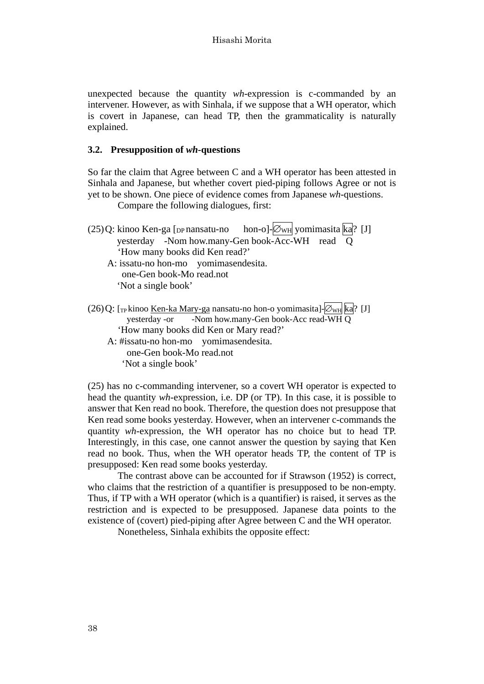unexpected because the quantity *wh*-expression is c-commanded by an intervener. However, as with Sinhala, if we suppose that a WH operator, which is covert in Japanese, can head TP, then the grammaticality is naturally explained.

#### **3.2. Presupposition of** *wh***-questions**

So far the claim that Agree between C and a WH operator has been attested in Sinhala and Japanese, but whether covert pied-piping follows Agree or not is yet to be shown. One piece of evidence comes from Japanese *wh*-questions.

Compare the following dialogues, first:

| (25) Q: kinoo Ken-ga [DP nansatu-no hon-o]- ØwH yomimasita ka? [J]                                                                  |
|-------------------------------------------------------------------------------------------------------------------------------------|
| yesterday -Nom how.many-Gen book-Acc-WH read Q                                                                                      |
| 'How many books did Ken read?'                                                                                                      |
| A: issatu-no hon-mo yomimasendesita.                                                                                                |
| one-Gen book-Mo read.not                                                                                                            |
| 'Not a single book'                                                                                                                 |
| $(26)$ Q: [ <sub>TP</sub> kinoo <u>Ken-ka Mary-ga</u> nansatu-no hon-o yomimasita]- $\varnothing_{\text{WH}}$ ka <sup>1</sup> ? [J] |
| yesterday -or -Nom how.many-Gen book-Acc read-WH Q                                                                                  |
| 'How many books did Ken or Mary read?'                                                                                              |
| A triggatu no hon mo vomimagandagita                                                                                                |

A: #issatu-no hon-mo yomimasendesita. one-Gen book-Mo read.not 'Not a single book'

(25) has no c-commanding intervener, so a covert WH operator is expected to head the quantity *wh*-expression, i.e. DP (or TP). In this case, it is possible to answer that Ken read no book. Therefore, the question does not presuppose that Ken read some books yesterday. However, when an intervener c-commands the quantity *wh*-expression, the WH operator has no choice but to head TP. Interestingly, in this case, one cannot answer the question by saying that Ken read no book. Thus, when the WH operator heads TP, the content of TP is presupposed: Ken read some books yesterday.

The contrast above can be accounted for if Strawson (1952) is correct, who claims that the restriction of a quantifier is presupposed to be non-empty. Thus, if TP with a WH operator (which is a quantifier) is raised, it serves as the restriction and is expected to be presupposed. Japanese data points to the existence of (covert) pied-piping after Agree between C and the WH operator.

Nonetheless, Sinhala exhibits the opposite effect: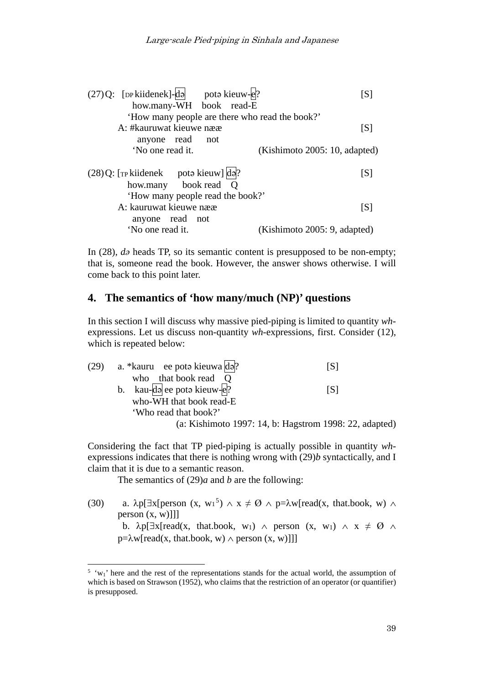| $(27)Q$ : [DP kiidenek]-da pota kieuw-e.?          | [S]                           |
|----------------------------------------------------|-------------------------------|
| how.many-WH book read-E                            |                               |
| 'How many people are there who read the book?'     |                               |
| A: #kauruwat kieuwe nææ                            | [S]                           |
| anyone read<br>not                                 |                               |
| 'No one read it.                                   | (Kishimoto 2005: 10, adapted) |
|                                                    |                               |
| $(28)$ Q: [T <sub>P</sub> kiidenek poto kieuw] do. | [S]                           |
| how.many book read Q                               |                               |
| 'How many people read the book?'                   |                               |
| A: kauruwat kieuwe nææ                             | [S]                           |
| anyone read not                                    |                               |
| 'No one read it.                                   | (Kishimoto 2005: 9, adapted)  |
|                                                    |                               |

In (28), *də* heads TP, so its semantic content is presupposed to be non-empty; that is, someone read the book. However, the answer shows otherwise. I will come back to this point later.

## **4. The semantics of 'how many/much (NP)' questions**

In this section I will discuss why massive pied-piping is limited to quantity *wh*expressions. Let us discuss non-quantity *wh*-expressions, first. Consider (12), which is repeated below:

| (29) a. *kauru ee poto kieuwa $d\phi$ ?                | IS I |
|--------------------------------------------------------|------|
| who that book read Q                                   |      |
| b. kau- $\overline{d}$ ee poto kieuw- $\overline{e}$ ? | ISI  |
| who-WH that book read-E                                |      |
| 'Who read that book?'                                  |      |
| (a: Kishimoto 1997: 14, b: Hagstrom 1998: 22, adapted) |      |

Considering the fact that TP pied-piping is actually possible in quantity *wh*expressions indicates that there is nothing wrong with (29)*b* syntactically, and I claim that it is due to a semantic reason.

The semantics of (29)*a* and *b* are the following:

1

(30) a.  $\lambda p[\exists x[person (x, w_1^5) \land x \neq \emptyset \land p=\lambda w[read(x, that-book, w) \land p])]$  $\lambda p[\exists x[person (x, w_1^5) \land x \neq \emptyset \land p=\lambda w[read(x, that-book, w) \land p])]$  $\lambda p[\exists x[person (x, w_1^5) \land x \neq \emptyset \land p=\lambda w[read(x, that-book, w) \land p])]$ person  $(x, w)$ ]]] b.  $\lambda p[\exists x[read(x, that-book, w_1) \land person(x, w_1) \land x \neq \emptyset \land ...]$  $p=\lambda w[read(x, that-book, w) \wedge person(x, w)]]$ 

<span id="page-8-0"></span> $5 \cdot w_1$ ' here and the rest of the representations stands for the actual world, the assumption of which is based on Strawson (1952), who claims that the restriction of an operator (or quantifier) is presupposed.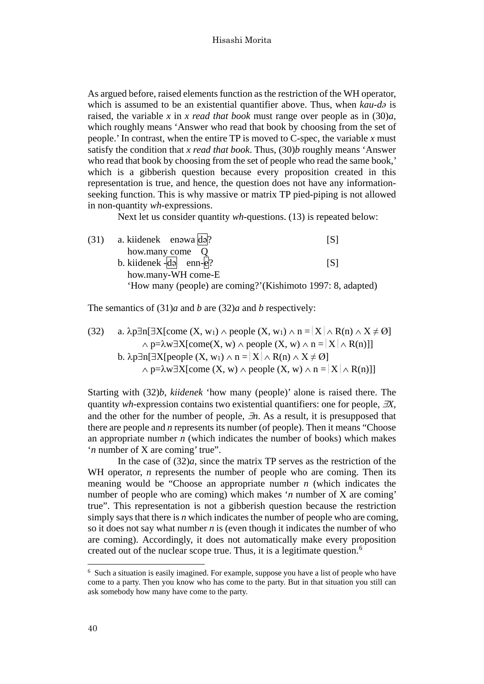As argued before, raised elements function as the restriction of the WH operator, which is assumed to be an existential quantifier above. Thus, when *kau-də* is raised, the variable *x* in *x read that book* must range over people as in (30)*a*, which roughly means 'Answer who read that book by choosing from the set of people.' In contrast, when the entire TP is moved to C-spec, the variable *x* must satisfy the condition that *x read that book*. Thus, (30)*b* roughly means 'Answer who read that book by choosing from the set of people who read the same book,' which is a gibberish question because every proposition created in this representation is true, and hence, the question does not have any informationseeking function. This is why massive or matrix TP pied-piping is not allowed in non-quantity *wh*-expressions.

Next let us consider quantity *wh*-questions. (13) is repeated below:

(31) a. kiidenek enəwa  $\text{d}$ ə? [S] how.many come Q b. kiidenek  $-\overline{d}$  enn- $\overline{e}$ ? [S] how.many-WH come-E 'How many (people) are coming?'(Kishimoto 1997: 8, adapted)

The semantics of (31)*a* and *b* are (32)*a* and *b* respectively:

(32) a. 
$$
\lambda p \exists n [\exists X[\text{come } (X, w_1) \land \text{people } (X, w_1) \land n = |X| \land R(n) \land X \neq \emptyset]
$$
  
\n $\land p = \lambda w \exists X[\text{come } (X, w) \land \text{people } (X, w) \land n = |X| \land R(n)]]$   
\nb.  $\lambda p \exists n [\exists X[\text{people } (X, w_1) \land n = |X| \land R(n) \land X \neq \emptyset]$   
\n $\land p = \lambda w \exists X[\text{come } (X, w) \land \text{people } (X, w) \land n = |X| \land R(n)]]$ 

Starting with (32)*b*, *kiidenek* 'how many (people)' alone is raised there. The quantity *wh*-expression contains two existential quantifiers: one for people, ∃*X*, and the other for the number of people, ∃*n*. As a result, it is presupposed that there are people and *n* represents its number (of people). Then it means "Choose an appropriate number *n* (which indicates the number of books) which makes '*n* number of X are coming' true".

In the case of  $(32)a$ , since the matrix TP serves as the restriction of the WH operator, *n* represents the number of people who are coming. Then its meaning would be "Choose an appropriate number *n* (which indicates the number of people who are coming) which makes '*n* number of X are coming' true". This representation is not a gibberish question because the restriction simply says that there is *n* which indicates the number of people who are coming, so it does not say what number *n* is (even though it indicates the number of who are coming). Accordingly, it does not automatically make every proposition created out of the nuclear scope true. Thus, it is a legitimate question. [6](#page-9-0)

<span id="page-9-0"></span><sup>6</sup> Such a situation is easily imagined. For example, suppose you have a list of people who have come to a party. Then you know who has come to the party. But in that situation you still can ask somebody how many have come to the party.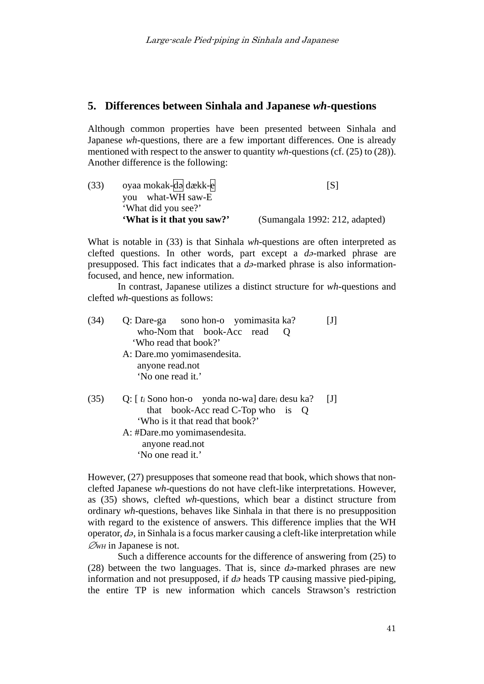#### **5. Differences between Sinhala and Japanese** *wh***-questions**

Although common properties have been presented between Sinhala and Japanese *wh*-questions, there are a few important differences. One is already mentioned with respect to the answer to quantity *wh*-questions (cf. (25) to (28)). Another difference is the following:

| (33) | oyaa mokak-da dækk-e       | [S]                            |
|------|----------------------------|--------------------------------|
|      | you what-WH saw-E          |                                |
|      | 'What did you see?'        |                                |
|      | 'What is it that you saw?' | (Sumangala 1992: 212, adapted) |

What is notable in (33) is that Sinhala *wh*-questions are often interpreted as clefted questions. In other words, part except a *də*-marked phrase are presupposed. This fact indicates that a *də*-marked phrase is also informationfocused, and hence, new information.

In contrast, Japanese utilizes a distinct structure for *wh*-questions and clefted *wh*-questions as follows:

| (34) | Q: Dare-ga sono hon-o yomimasita ka?<br>who-Nom that book-Acc read<br>'Who read that book?'<br>A: Dare.mo yomimasendesita.<br>anyone read.not                                                                   | $\lceil \mathrm{J} \rceil$ |
|------|-----------------------------------------------------------------------------------------------------------------------------------------------------------------------------------------------------------------|----------------------------|
|      | 'No one read it.'                                                                                                                                                                                               |                            |
| (35) | Q: $\lceil t_i \rceil$ Sono hon-o yonda no-wa $\lceil$ dare <sub>i</sub> desu ka?<br>that book-Acc read C-Top who is $Q$<br>'Who is it that read that book?'<br>A: #Dare.mo yomimasendesita.<br>anyone read.not | [J]                        |

'No one read it.'

However, (27) presupposes that someone read that book, which shows that nonclefted Japanese *wh*-questions do not have cleft-like interpretations. However, as (35) shows, clefted *wh*-questions, which bear a distinct structure from ordinary *wh*-questions, behaves like Sinhala in that there is no presupposition with regard to the existence of answers. This difference implies that the WH operator, *də*, in Sinhala is a focus marker causing a cleft-like interpretation while  $\mathcal{Q}_{WH}$  in Japanese is not.

Such a difference accounts for the difference of answering from (25) to (28) between the two languages. That is, since *də*-marked phrases are new information and not presupposed, if *də* heads TP causing massive pied-piping, the entire TP is new information which cancels Strawson's restriction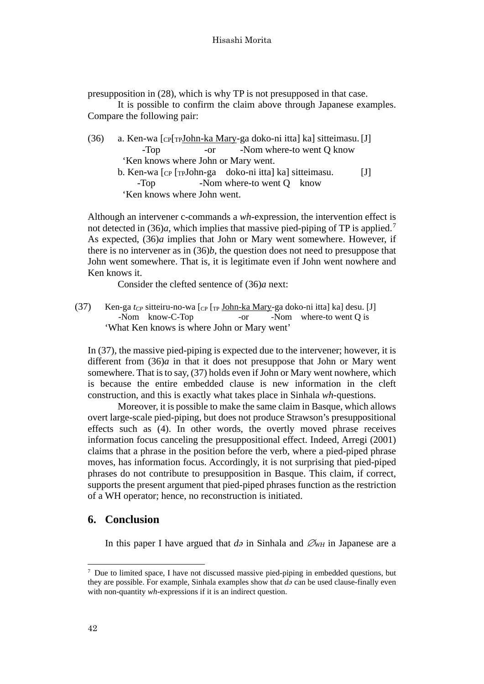presupposition in (28), which is why TP is not presupposed in that case.

It is possible to confirm the claim above through Japanese examples. Compare the following pair:

- (36) a. Ken-wa [CP[TPJohn-ka Mary-ga doko-ni itta] ka] sitteimasu.[J] -Top -or -Nom where-to went O know 'Ken knows where John or Mary went.
	- b. Ken-wa [CP [TPJohn-ga doko-ni itta] ka] sitteimasu. [J] -Top -Nom where-to went O know 'Ken knows where John went.

Although an intervener c-commands a *wh*-expression, the intervention effect is not detected in (36)*a*, which implies that massive pied-piping of TP is applied.<sup>[7](#page-11-0)</sup> As expected, (36)*a* implies that John or Mary went somewhere. However, if there is no intervener as in (36)*b*, the question does not need to presuppose that John went somewhere. That is, it is legitimate even if John went nowhere and Ken knows it.

Consider the clefted sentence of (36)*a* next:

(37) Ken-ga  $t_{CP}$  sitteiru-no-wa  $\lceil_{CP} \rceil$ <sub>TP</sub> John-ka Mary-ga doko-ni itta] ka] desu. [J] -Nom know-C-Top -or -Nom where-to went Q is 'What Ken knows is where John or Mary went'

In (37), the massive pied-piping is expected due to the intervener; however, it is different from (36)*a* in that it does not presuppose that John or Mary went somewhere. That is to say, (37) holds even if John or Mary went nowhere, which is because the entire embedded clause is new information in the cleft construction, and this is exactly what takes place in Sinhala *wh*-questions.

Moreover, it is possible to make the same claim in Basque, which allows overt large-scale pied-piping, but does not produce Strawson's presuppositional effects such as (4). In other words, the overtly moved phrase receives information focus canceling the presuppositional effect. Indeed, Arregi (2001) claims that a phrase in the position before the verb, where a pied-piped phrase moves, has information focus. Accordingly, it is not surprising that pied-piped phrases do not contribute to presupposition in Basque. This claim, if correct, supports the present argument that pied-piped phrases function as the restriction of a WH operator; hence, no reconstruction is initiated.

## **6. Conclusion**

In this paper I have argued that *də* in Sinhala and ∅*WH* in Japanese are a

<span id="page-11-0"></span><sup>7</sup> Due to limited space, I have not discussed massive pied-piping in embedded questions, but they are possible. For example, Sinhala examples show that *də* can be used clause-finally even with non-quantity *wh*-expressions if it is an indirect question.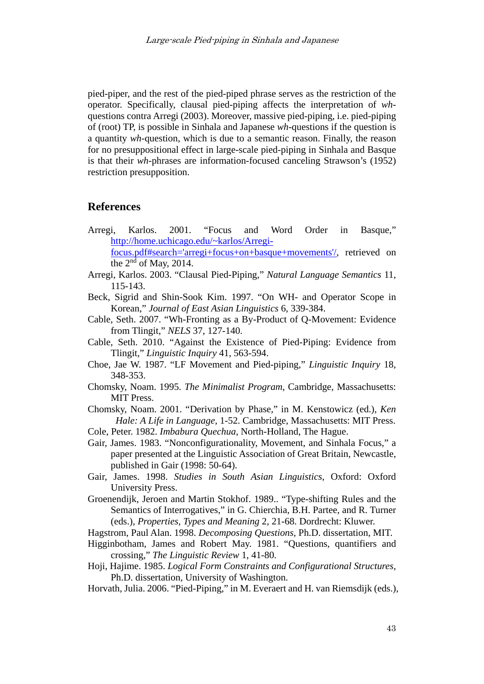pied-piper, and the rest of the pied-piped phrase serves as the restriction of the operator. Specifically, clausal pied-piping affects the interpretation of *wh*questions contra Arregi (2003). Moreover, massive pied-piping, i.e. pied-piping of (root) TP, is possible in Sinhala and Japanese *wh*-questions if the question is a quantity *wh*-question, which is due to a semantic reason. Finally, the reason for no presuppositional effect in large-scale pied-piping in Sinhala and Basque is that their *wh*-phrases are information-focused canceling Strawson's (1952) restriction presupposition.

#### **References**

- Arregi, Karlos. 2001. "Focus and Word Order in Basque," [http://home.uchicago.edu/~karlos/Arregi](http://home.uchicago.edu/%7Ekarlos/Arregi-focus.pdf%23search=)[focus.pdf#search='arregi+focus+on+basque+movements'/,](http://home.uchicago.edu/%7Ekarlos/Arregi-focus.pdf%23search=) retrieved on the  $2<sup>nd</sup>$  of May, 2014.
- Arregi, Karlos. 2003. "Clausal Pied-Piping," *Natural Language Semantics* 11, 115-143.
- Beck, Sigrid and Shin-Sook Kim. 1997. "On WH- and Operator Scope in Korean," *Journal of East Asian Linguistics* 6, 339-384.
- Cable, Seth. 2007. "Wh-Fronting as a By-Product of Q-Movement: Evidence from Tlingit," *NELS* 37, 127-140.
- Cable, Seth. 2010. "Against the Existence of Pied-Piping: Evidence from Tlingit," *Linguistic Inquiry* 41, 563-594.
- Choe, Jae W. 1987. "LF Movement and Pied-piping," *Linguistic Inquiry* 18, 348-353.
- Chomsky, Noam. 1995. *The Minimalist Program*, Cambridge, Massachusetts: MIT Press.
- Chomsky, Noam. 2001. "Derivation by Phase," in M. Kenstowicz (ed.), *Ken Hale: A Life in Language*, 1-52. Cambridge, Massachusetts: MIT Press.
- Cole, Peter. 1982. *Imbabura Quechua*, North-Holland, The Hague.
- Gair, James. 1983. "Nonconfigurationality, Movement, and Sinhala Focus," a paper presented at the Linguistic Association of Great Britain, Newcastle, published in Gair (1998: 50-64).
- Gair, James. 1998. *Studies in South Asian Linguistics*, Oxford: Oxford University Press.
- Groenendijk, Jeroen and Martin Stokhof. 1989.. "Type-shifting Rules and the Semantics of Interrogatives," in G. Chierchia, B.H. Partee, and R. Turner (eds.), *Properties, Types and Meaning* 2, 21-68. Dordrecht: Kluwer.
- Hagstrom, Paul Alan. 1998. *Decomposing Questions*, Ph.D. dissertation, MIT.
- Higginbotham, James and Robert May. 1981. "Questions, quantifiers and crossing," *The Linguistic Review* 1, 41-80.
- Hoji, Hajime. 1985. *Logical Form Constraints and Configurational Structures*, Ph.D. dissertation, University of Washington.
- Horvath, Julia. 2006. "Pied-Piping," in M. Everaert and H. van Riemsdijk (eds.),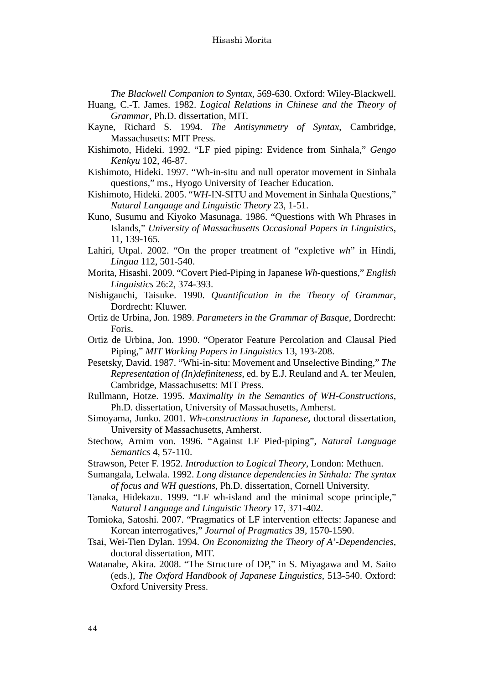*The Blackwell Companion to Syntax*, 569-630. Oxford: Wiley-Blackwell.

Huang, C.-T. James. 1982. *Logical Relations in Chinese and the Theory of Grammar*, Ph.D. dissertation, MIT.

- Kayne, Richard S. 1994. *The Antisymmetry of Syntax*, Cambridge, Massachusetts: MIT Press.
- Kishimoto, Hideki. 1992. "LF pied piping: Evidence from Sinhala," *Gengo Kenkyu* 102, 46-87.
- Kishimoto, Hideki. 1997. "Wh-in-situ and null operator movement in Sinhala questions," ms., Hyogo University of Teacher Education.

Kishimoto, Hideki. 2005. "*WH*-IN-SITU and Movement in Sinhala Questions," *Natural Language and Linguistic Theory* 23, 1-51.

- Kuno, Susumu and Kiyoko Masunaga. 1986. "Questions with Wh Phrases in Islands," *University of Massachusetts Occasional Papers in Linguistics*, 11, 139-165.
- Lahiri, Utpal. 2002. "On the proper treatment of "expletive *wh*" in Hindi, *Lingua* 112, 501-540.
- Morita, Hisashi. 2009. "Covert Pied-Piping in Japanese *Wh*-questions," *English Linguistics* 26:2, 374-393.
- Nishigauchi, Taisuke. 1990. *Quantification in the Theory of Grammar*, Dordrecht: Kluwer.
- Ortiz de Urbina, Jon. 1989. *Parameters in the Grammar of Basque*, Dordrecht: Foris.
- Ortiz de Urbina, Jon. 1990. "Operator Feature Percolation and Clausal Pied Piping," *MIT Working Papers in Linguistics* 13, 193-208.
- Pesetsky, David. 1987. "Whi-in-situ: Movement and Unselective Binding," *The Representation of (In)definiteness*, ed. by E.J. Reuland and A. ter Meulen, Cambridge, Massachusetts: MIT Press.
- Rullmann, Hotze. 1995. *Maximality in the Semantics of WH-Constructions,* Ph.D. dissertation, University of Massachusetts, Amherst.
- Simoyama, Junko. 2001. *Wh-constructions in Japanese*, doctoral dissertation, University of Massachusetts, Amherst.
- Stechow, Arnim von. 1996. "Against LF Pied-piping", *Natural Language Semantics* 4, 57-110.
- Strawson, Peter F. 1952. *Introduction to Logical Theory*, London: Methuen.
- Sumangala, Lelwala. 1992. *Long distance dependencies in Sinhala: The syntax of focus and WH questions*, Ph.D. dissertation, Cornell University.
- Tanaka, Hidekazu. 1999. "LF wh-island and the minimal scope principle," *Natural Language and Linguistic Theory* 17, 371-402.
- Tomioka, Satoshi. 2007. "Pragmatics of LF intervention effects: Japanese and Korean interrogatives," *Journal of Pragmatics* 39, 1570-1590.
- Tsai, Wei-Tien Dylan. 1994. *On Economizing the Theory of A'-Dependencies,*  doctoral dissertation, MIT.
- Watanabe, Akira. 2008. "The Structure of DP," in S. Miyagawa and M. Saito (eds.), *The Oxford Handbook of Japanese Linguistics*, 513-540. Oxford: Oxford University Press.